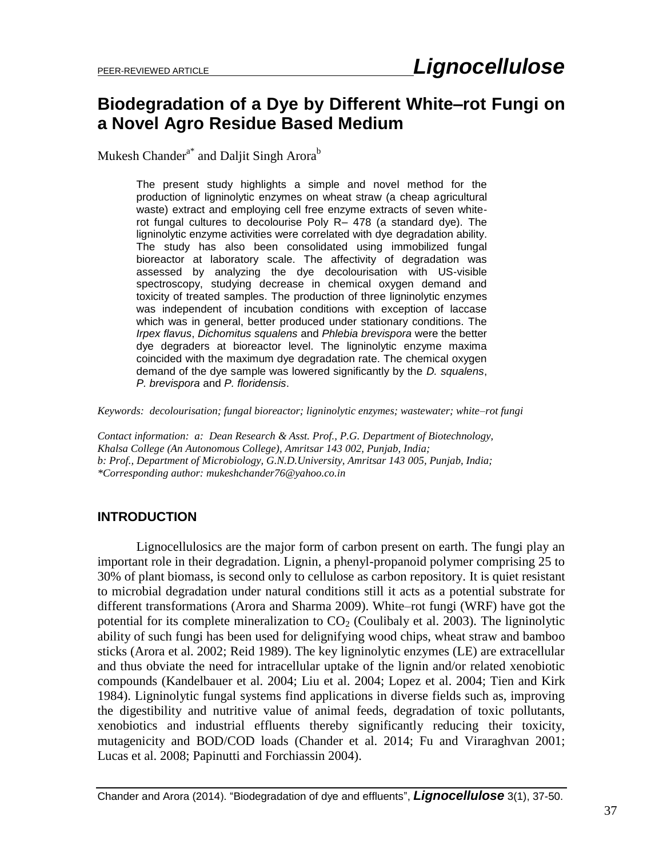## **Biodegradation of a Dye by Different White–rot Fungi on a Novel Agro Residue Based Medium**

Mukesh Chander<sup>a\*</sup> and Daljit Singh Arora<sup>b</sup>

The present study highlights a simple and novel method for the production of ligninolytic enzymes on wheat straw (a cheap agricultural waste) extract and employing cell free enzyme extracts of seven whiterot fungal cultures to decolourise Poly R– 478 (a standard dye). The ligninolytic enzyme activities were correlated with dye degradation ability. The study has also been consolidated using immobilized fungal bioreactor at laboratory scale. The affectivity of degradation was assessed by analyzing the dye decolourisation with US-visible spectroscopy, studying decrease in chemical oxygen demand and toxicity of treated samples. The production of three ligninolytic enzymes was independent of incubation conditions with exception of laccase which was in general, better produced under stationary conditions. The *Irpex flavus*, *Dichomitus squalens* and *Phlebia brevispora* were the better dye degraders at bioreactor level. The ligninolytic enzyme maxima coincided with the maximum dye degradation rate. The chemical oxygen demand of the dye sample was lowered significantly by the *D. squalens*, *P. brevispora* and *P. floridensis*.

*Keywords: decolourisation; fungal bioreactor; ligninolytic enzymes; wastewater; white–rot fungi*

*Contact information: a: Dean Research & Asst. Prof., P.G. Department of Biotechnology, Khalsa College (An Autonomous College), Amritsar 143 002, Punjab, India; b: Prof., Department of Microbiology, G.N.D.University, Amritsar 143 005, Punjab, India; \*Corresponding author: mukeshchander76@yahoo.co.in*

#### **INTRODUCTION**

Lignocellulosics are the major form of carbon present on earth. The fungi play an important role in their degradation. Lignin, a phenyl-propanoid polymer comprising 25 to 30% of plant biomass, is second only to cellulose as carbon repository. It is quiet resistant to microbial degradation under natural conditions still it acts as a potential substrate for different transformations (Arora and Sharma 2009). White–rot fungi (WRF) have got the potential for its complete mineralization to  $CO<sub>2</sub>$  (Coulibaly et al. 2003). The ligninolytic ability of such fungi has been used for delignifying wood chips, wheat straw and bamboo sticks (Arora et al. 2002; Reid 1989). The key ligninolytic enzymes (LE) are extracellular and thus obviate the need for intracellular uptake of the lignin and/or related xenobiotic compounds (Kandelbauer et al. 2004; Liu et al. 2004; Lopez et al. 2004; Tien and Kirk 1984). Ligninolytic fungal systems find applications in diverse fields such as, improving the digestibility and nutritive value of animal feeds, degradation of toxic pollutants, xenobiotics and industrial effluents thereby significantly reducing their toxicity, mutagenicity and BOD/COD loads (Chander et al. 2014; Fu and Viraraghvan 2001; Lucas et al. 2008; Papinutti and Forchiassin 2004).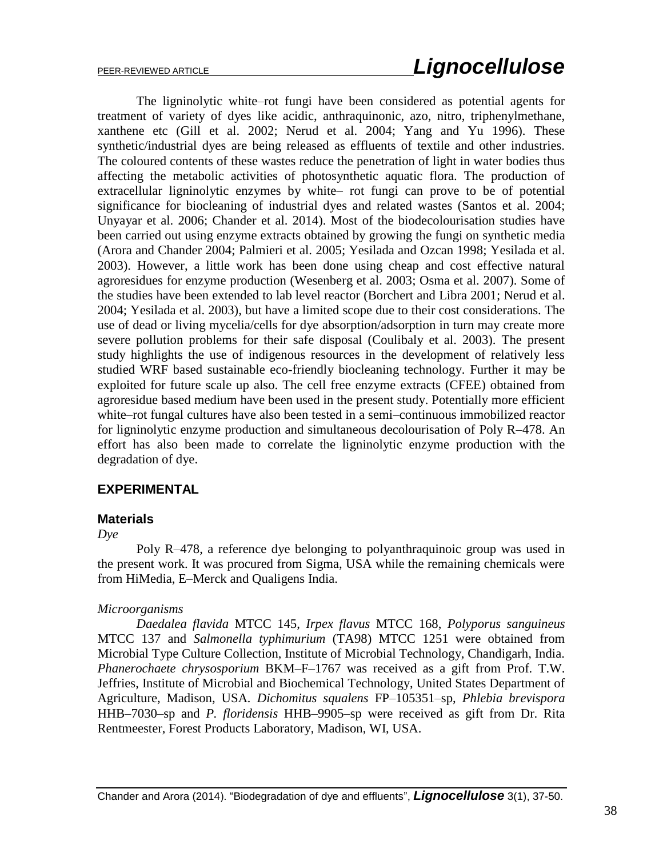The ligninolytic white–rot fungi have been considered as potential agents for treatment of variety of dyes like acidic, anthraquinonic, azo, nitro, triphenylmethane, xanthene etc (Gill et al. 2002; Nerud et al. 2004; Yang and Yu 1996). These synthetic/industrial dyes are being released as effluents of textile and other industries. The coloured contents of these wastes reduce the penetration of light in water bodies thus affecting the metabolic activities of photosynthetic aquatic flora. The production of extracellular ligninolytic enzymes by white– rot fungi can prove to be of potential significance for biocleaning of industrial dyes and related wastes (Santos et al. 2004; Unyayar et al. 2006; Chander et al. 2014). Most of the biodecolourisation studies have been carried out using enzyme extracts obtained by growing the fungi on synthetic media (Arora and Chander 2004; Palmieri et al. 2005; Yesilada and Ozcan 1998; Yesilada et al. 2003). However, a little work has been done using cheap and cost effective natural agroresidues for enzyme production (Wesenberg et al. 2003; Osma et al. 2007). Some of the studies have been extended to lab level reactor (Borchert and Libra 2001; Nerud et al. 2004; Yesilada et al. 2003), but have a limited scope due to their cost considerations. The use of dead or living mycelia/cells for dye absorption/adsorption in turn may create more severe pollution problems for their safe disposal (Coulibaly et al. 2003). The present study highlights the use of indigenous resources in the development of relatively less studied WRF based sustainable eco-friendly biocleaning technology. Further it may be exploited for future scale up also. The cell free enzyme extracts (CFEE) obtained from agroresidue based medium have been used in the present study. Potentially more efficient white–rot fungal cultures have also been tested in a semi–continuous immobilized reactor for ligninolytic enzyme production and simultaneous decolourisation of Poly R–478. An effort has also been made to correlate the ligninolytic enzyme production with the degradation of dye.

#### **EXPERIMENTAL**

#### **Materials**

*Dye*

Poly R–478, a reference dye belonging to polyanthraquinoic group was used in the present work. It was procured from Sigma, USA while the remaining chemicals were from HiMedia, E–Merck and Qualigens India.

#### *Microorganisms*

*Daedalea flavida* MTCC 145, *Irpex flavus* MTCC 168, *Polyporus sanguineus*  MTCC 137 and *Salmonella typhimurium* (TA98) MTCC 1251 were obtained from Microbial Type Culture Collection, Institute of Microbial Technology, Chandigarh, India. *Phanerochaete chrysosporium* BKM–F–1767 was received as a gift from Prof. T.W. Jeffries, Institute of Microbial and Biochemical Technology, United States Department of Agriculture, Madison, USA*. Dichomitus squalens* FP–105351–sp, *Phlebia brevispora*  HHB–7030–sp and *P. floridensis* HHB–9905–sp were received as gift from Dr. Rita Rentmeester, Forest Products Laboratory, Madison, WI, USA.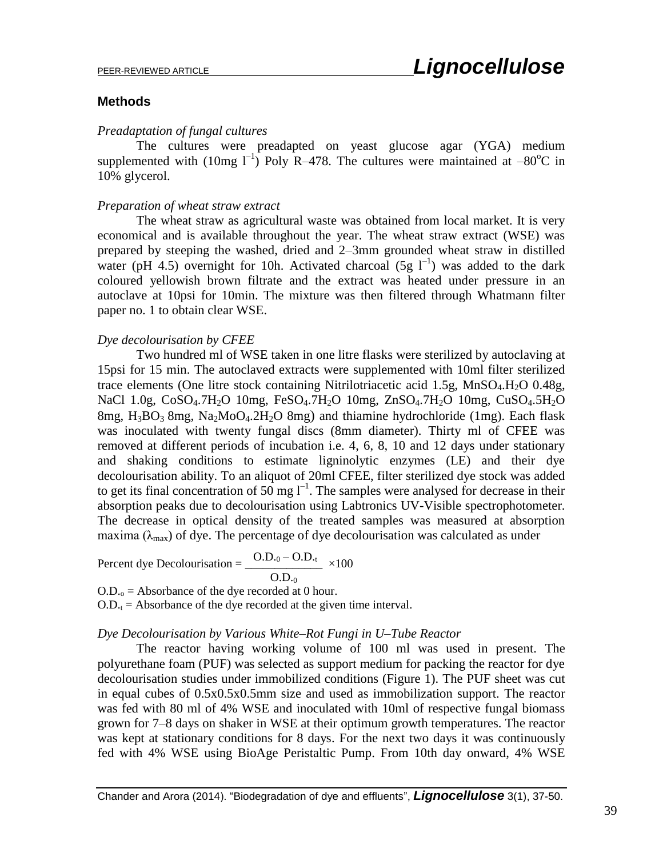#### **Methods**

#### *Preadaptation of fungal cultures*

The cultures were preadapted on yeast glucose agar (YGA) medium supplemented with (10mg  $1^{-1}$ ) Poly R-478. The cultures were maintained at -80<sup>o</sup>C in 10% glycerol.

#### *Preparation of wheat straw extract*

The wheat straw as agricultural waste was obtained from local market. It is very economical and is available throughout the year. The wheat straw extract (WSE) was prepared by steeping the washed, dried and 2–3mm grounded wheat straw in distilled water (pH 4.5) overnight for 10h. Activated charcoal  $(5g I^{-1})$  was added to the dark coloured yellowish brown filtrate and the extract was heated under pressure in an autoclave at 10psi for 10min. The mixture was then filtered through Whatmann filter paper no. 1 to obtain clear WSE.

#### *Dye decolourisation by CFEE*

Two hundred ml of WSE taken in one litre flasks were sterilized by autoclaving at 15psi for 15 min. The autoclaved extracts were supplemented with 10ml filter sterilized trace elements (One litre stock containing Nitrilotriacetic acid 1.5g,  $MnSO<sub>4</sub>$ .H<sub>2</sub>O 0.48g, NaCl 1.0g, CoSO<sub>4</sub>.7H<sub>2</sub>O 10mg, FeSO<sub>4</sub>.7H<sub>2</sub>O 10mg, ZnSO<sub>4</sub>.7H<sub>2</sub>O 10mg, CuSO<sub>4</sub>.5H<sub>2</sub>O 8mg,  $H_3BO_3$  8mg, Na<sub>2</sub>MoO<sub>4</sub>.2H<sub>2</sub>O 8mg) and thiamine hydrochloride (1mg). Each flask was inoculated with twenty fungal discs (8mm diameter). Thirty ml of CFEE was removed at different periods of incubation i.e. 4, 6, 8, 10 and 12 days under stationary and shaking conditions to estimate ligninolytic enzymes (LE) and their dye decolourisation ability. To an aliquot of 20ml CFEE, filter sterilized dye stock was added to get its final concentration of 50 mg  $I^{-1}$ . The samples were analysed for decrease in their absorption peaks due to decolourisation using Labtronics UV-Visible spectrophotometer. The decrease in optical density of the treated samples was measured at absorption maxima ( $\lambda_{\text{max}}$ ) of dye. The percentage of dye decolourisation was calculated as under

Percent dye Decolourisation = 
$$
\frac{O.D_{0} - O.D_{t}}{O.D_{0}} \times 100
$$

 $O.D<sub>o</sub> = Absorbance of the dye recorded at 0 hour.$ 

 $O.D_{t} = Absorbance$  of the dye recorded at the given time interval.

#### *Dye Decolourisation by Various White–Rot Fungi in U–Tube Reactor*

The reactor having working volume of 100 ml was used in present. The polyurethane foam (PUF) was selected as support medium for packing the reactor for dye decolourisation studies under immobilized conditions (Figure 1). The PUF sheet was cut in equal cubes of 0.5x0.5x0.5mm size and used as immobilization support. The reactor was fed with 80 ml of 4% WSE and inoculated with 10ml of respective fungal biomass grown for 7–8 days on shaker in WSE at their optimum growth temperatures. The reactor was kept at stationary conditions for 8 days. For the next two days it was continuously fed with 4% WSE using BioAge Peristaltic Pump. From 10th day onward, 4% WSE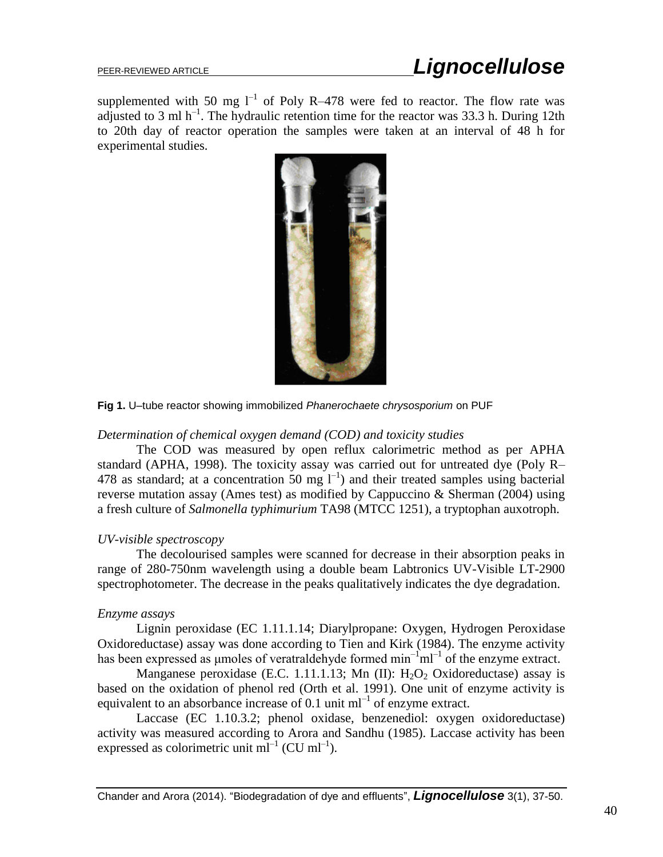supplemented with 50 mg  $l^{-1}$  of Poly R-478 were fed to reactor. The flow rate was adjusted to 3 ml  $h^{-1}$ . The hydraulic retention time for the reactor was 33.3 h. During 12th to 20th day of reactor operation the samples were taken at an interval of 48 h for experimental studies.



**Fig 1.** U–tube reactor showing immobilized *Phanerochaete chrysosporium* on PUF

#### *Determination of chemical oxygen demand (COD) and toxicity studies*

The COD was measured by open reflux calorimetric method as per APHA standard (APHA, 1998). The toxicity assay was carried out for untreated dye (Poly R– 478 as standard; at a concentration 50 mg  $I^{-1}$ ) and their treated samples using bacterial reverse mutation assay (Ames test) as modified by Cappuccino & Sherman (2004) using a fresh culture of *Salmonella typhimurium* TA98 (MTCC 1251), a tryptophan auxotroph.

#### *UV-visible spectroscopy*

The decolourised samples were scanned for decrease in their absorption peaks in range of 280-750nm wavelength using a double beam Labtronics UV-Visible LT-2900 spectrophotometer. The decrease in the peaks qualitatively indicates the dye degradation.

#### *Enzyme assays*

Lignin peroxidase (EC 1.11.1.14; Diarylpropane: Oxygen, Hydrogen Peroxidase Oxidoreductase) assay was done according to Tien and Kirk (1984). The enzyme activity has been expressed as umoles of veratraldehyde formed  $\text{min}^{-1} \text{ml}^{-1}$  of the enzyme extract.

Manganese peroxidase (E.C. 1.11.1.13; Mn (II):  $H_2O_2$  Oxidoreductase) assay is based on the oxidation of phenol red (Orth et al. 1991). One unit of enzyme activity is equivalent to an absorbance increase of 0.1 unit  $ml^{-1}$  of enzyme extract.

Laccase (EC 1.10.3.2; phenol oxidase, benzenediol: oxygen oxidoreductase) activity was measured according to Arora and Sandhu (1985). Laccase activity has been expressed as colorimetric unit  $ml^{-1}$  (CU  $ml^{-1}$ ).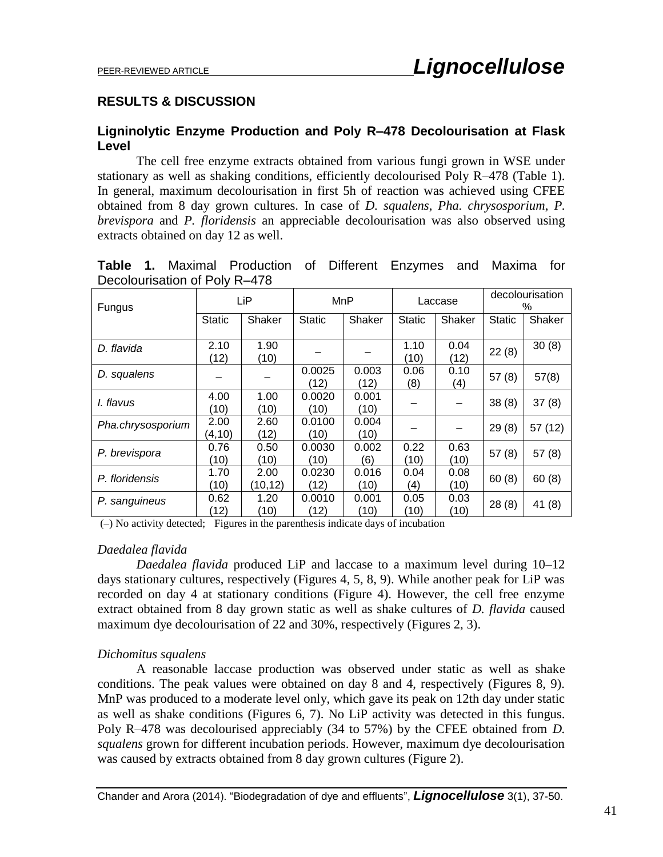#### **RESULTS & DISCUSSION**

#### **Ligninolytic Enzyme Production and Poly R–478 Decolourisation at Flask Level**

The cell free enzyme extracts obtained from various fungi grown in WSE under stationary as well as shaking conditions, efficiently decolourised Poly R–478 (Table 1). In general, maximum decolourisation in first 5h of reaction was achieved using CFEE obtained from 8 day grown cultures. In case of *D. squalens*, *Pha. chrysosporium*, *P. brevispora* and *P. floridensis* an appreciable decolourisation was also observed using extracts obtained on day 12 as well.

| Decolourisation of Poly R-478 |                 |                  |                |               |               |              |                      |         |
|-------------------------------|-----------------|------------------|----------------|---------------|---------------|--------------|----------------------|---------|
| Fungus                        | LiP             |                  | <b>MnP</b>     |               | Laccase       |              | decolourisation<br>% |         |
|                               | <b>Static</b>   | Shaker           | <b>Static</b>  | Shaker        | <b>Static</b> | Shaker       | <b>Static</b>        | Shaker  |
| D. flavida                    | 2.10<br>(12)    | 1.90<br>(10)     |                |               | 1.10<br>(10)  | 0.04<br>(12) | 22(8)                | 30(8)   |
| D. squalens                   |                 |                  | 0.0025<br>(12) | 0.003<br>(12) | 0.06<br>(8)   | 0.10<br>(4)  | 57(8)                | 57(8)   |
| I. flavus                     | 4.00<br>(10)    | 1.00<br>(10)     | 0.0020<br>(10) | 0.001<br>(10) |               |              | 38(8)                | 37(8)   |
| Pha.chrysosporium             | 2.00<br>(4, 10) | 2.60<br>(12)     | 0.0100<br>(10) | 0.004<br>(10) |               |              | 29(8)                | 57 (12) |
| P. brevispora                 | 0.76<br>(10)    | 0.50<br>(10)     | 0.0030<br>(10) | 0.002<br>(6)  | 0.22<br>(10)  | 0.63<br>(10) | 57(8)                | 57(8)   |
| P. floridensis                | 1.70<br>(10)    | 2.00<br>(10, 12) | 0.0230<br>(12) | 0.016<br>(10) | 0.04<br>(4)   | 0.08<br>(10) | 60(8)                | 60(8)   |
| P. sanguineus                 | 0.62            | 1.20             | 0.0010         | 0.001         | 0.05          | 0.03         | 28 (8)               | 41 (R)  |

**Table 1.** Maximal Production of Different Enzymes and Maxima for  $\mathsf{D}_{\mathsf{a}}$ 

(10) (–) No activity detected; Figures in the parenthesis indicate days of incubation

(12)

#### *Daedalea flavida*

*Daedalea flavida* produced LiP and laccase to a maximum level during 10–12 days stationary cultures, respectively (Figures 4, 5, 8, 9). While another peak for LiP was recorded on day 4 at stationary conditions (Figure 4). However, the cell free enzyme extract obtained from 8 day grown static as well as shake cultures of *D. flavida* caused maximum dye decolourisation of 22 and 30%, respectively (Figures 2, 3).

(12)

(10)

(10)

 $(10)$  28 (8) 41 (8)

#### *Dichomitus squalens*

A reasonable laccase production was observed under static as well as shake conditions. The peak values were obtained on day 8 and 4, respectively (Figures 8, 9). MnP was produced to a moderate level only, which gave its peak on 12th day under static as well as shake conditions (Figures 6, 7). No LiP activity was detected in this fungus. Poly R–478 was decolourised appreciably (34 to 57%) by the CFEE obtained from *D. squalens* grown for different incubation periods. However, maximum dye decolourisation was caused by extracts obtained from 8 day grown cultures (Figure 2).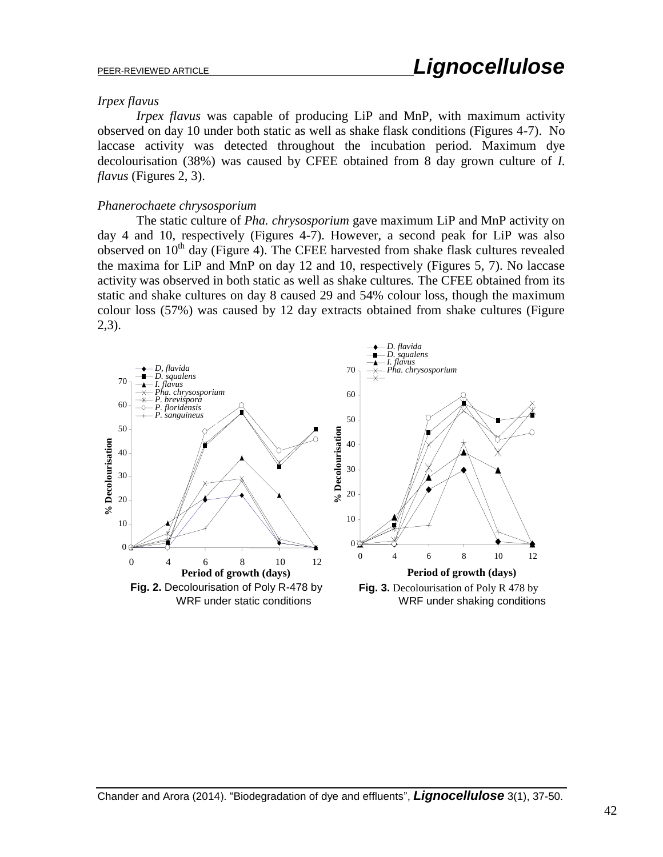#### *Irpex flavus*

*Irpex flavus* was capable of producing LiP and MnP, with maximum activity observed on day 10 under both static as well as shake flask conditions (Figures 4-7). No laccase activity was detected throughout the incubation period. Maximum dye decolourisation (38%) was caused by CFEE obtained from 8 day grown culture of *I. flavus* (Figures 2, 3).

#### *Phanerochaete chrysosporium*

The static culture of *Pha. chrysosporium* gave maximum LiP and MnP activity on day 4 and 10, respectively (Figures 4-7). However, a second peak for LiP was also observed on  $10<sup>th</sup>$  day (Figure 4). The CFEE harvested from shake flask cultures revealed the maxima for LiP and MnP on day 12 and 10, respectively (Figures 5, 7). No laccase activity was observed in both static as well as shake cultures*.* The CFEE obtained from its static and shake cultures on day 8 caused 29 and 54% colour loss, though the maximum colour loss (57%) was caused by 12 day extracts obtained from shake cultures (Figure 2,3).

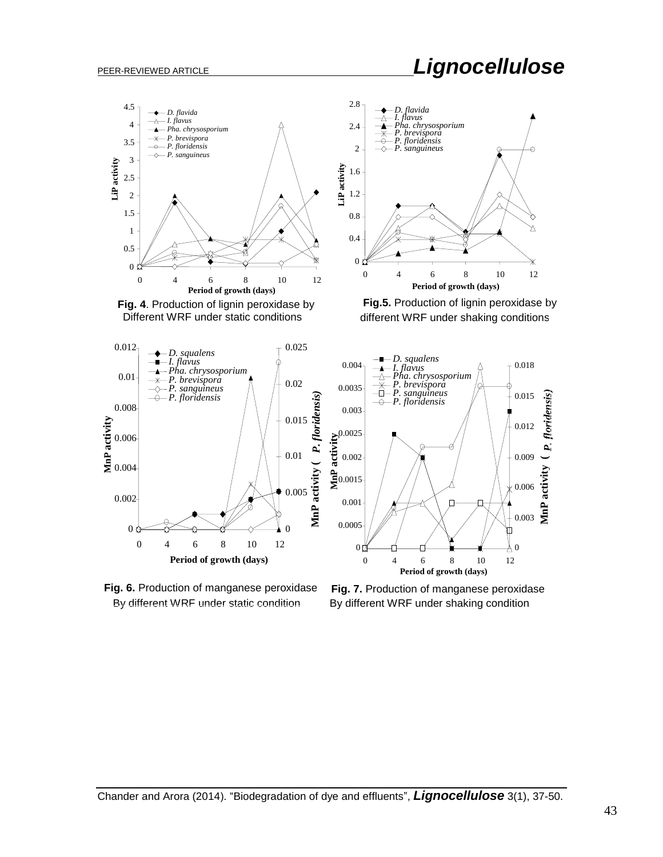## PEER-REVIEWED ARTICLE *Lignocellulose*







**Fig.5.** Production of lignin peroxidase by different WRF under shaking conditions

*D. squalens I. flavus*

*Pha. chrysosporium P. brevispora P. sanguineus P. floridensis*







**Period of growth (days)**

0

0.003

0.006

0.009

**MnP activity (** *P. floridensis)*

**MnP** activity

*<u>Aoridensis</u>* 

0.012

0.015

0.018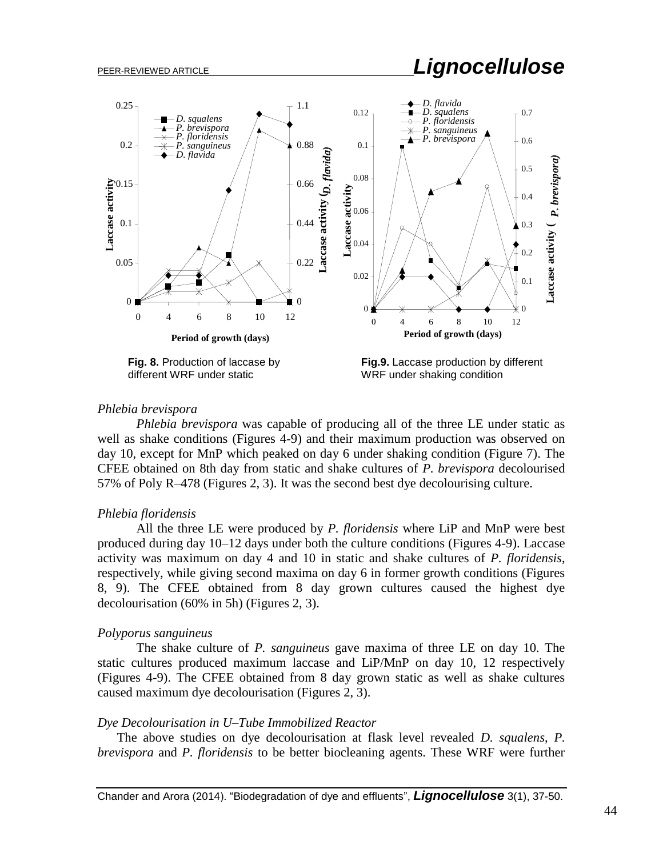# PEER-REVIEWED ARTICLE *Lignocellulose*



#### *Phlebia brevispora*

*Phlebia brevispora* was capable of producing all of the three LE under static as well as shake conditions (Figures 4-9) and their maximum production was observed on day 10, except for MnP which peaked on day 6 under shaking condition (Figure 7). The CFEE obtained on 8th day from static and shake cultures of *P. brevispora* decolourised 57% of Poly R–478 (Figures 2, 3). It was the second best dye decolourising culture.

#### *Phlebia floridensis*

All the three LE were produced by *P. floridensis* where LiP and MnP were best produced during day 10–12 days under both the culture conditions (Figures 4-9). Laccase activity was maximum on day 4 and 10 in static and shake cultures of *P. floridensis*, respectively, while giving second maxima on day 6 in former growth conditions (Figures 8, 9). The CFEE obtained from 8 day grown cultures caused the highest dye decolourisation (60% in 5h) (Figures 2, 3).

#### *Polyporus sanguineus*

The shake culture of *P. sanguineus* gave maxima of three LE on day 10. The static cultures produced maximum laccase and LiP/MnP on day 10, 12 respectively (Figures 4-9). The CFEE obtained from 8 day grown static as well as shake cultures caused maximum dye decolourisation (Figures 2, 3).

#### *Dye Decolourisation in U–Tube Immobilized Reactor*

The above studies on dye decolourisation at flask level revealed *D. squalens*, *P. brevispora* and *P. floridensis* to be better biocleaning agents. These WRF were further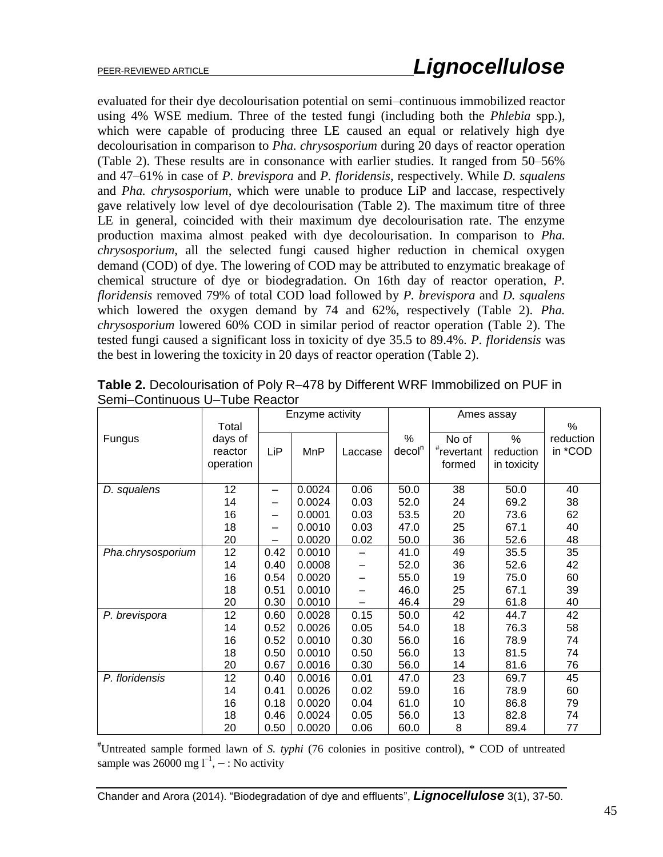evaluated for their dye decolourisation potential on semi–continuous immobilized reactor using 4% WSE medium. Three of the tested fungi (including both the *Phlebia* spp.), which were capable of producing three LE caused an equal or relatively high dye decolourisation in comparison to *Pha. chrysosporium* during 20 days of reactor operation (Table 2). These results are in consonance with earlier studies. It ranged from 50–56% and 47–61% in case of *P. brevispora* and *P. floridensis*, respectively. While *D. squalens*  and *Pha. chrysosporium*, which were unable to produce LiP and laccase, respectively gave relatively low level of dye decolourisation (Table 2). The maximum titre of three LE in general, coincided with their maximum dye decolourisation rate. The enzyme production maxima almost peaked with dye decolourisation. In comparison to *Pha. chrysosporium*, all the selected fungi caused higher reduction in chemical oxygen demand (COD) of dye. The lowering of COD may be attributed to enzymatic breakage of chemical structure of dye or biodegradation. On 16th day of reactor operation, *P. floridensis* removed 79% of total COD load followed by *P. brevispora* and *D. squalens*  which lowered the oxygen demand by 74 and 62%, respectively (Table 2). *Pha. chrysosporium* lowered 60% COD in similar period of reactor operation (Table 2). The tested fungi caused a significant loss in toxicity of dye 35.5 to 89.4%. *P. floridensis* was the best in lowering the toxicity in 20 days of reactor operation (Table 2).

|                   |           | Enzyme activity |        |         |                    | Ames assay    |             |           |
|-------------------|-----------|-----------------|--------|---------|--------------------|---------------|-------------|-----------|
|                   | Total     |                 |        |         |                    |               |             | %         |
| Fungus            | days of   |                 |        |         | %                  | No of         | %           | reduction |
|                   | reactor   | LiP             | MnP    | Laccase | decol <sup>n</sup> | $*$ revertant | reduction   | in *COD   |
|                   | operation |                 |        |         |                    | formed        | in toxicity |           |
|                   |           |                 |        |         |                    |               |             |           |
| D. squalens       | 12        | -               | 0.0024 | 0.06    | 50.0               | 38            | 50.0        | 40        |
|                   | 14        |                 | 0.0024 | 0.03    | 52.0               | 24            | 69.2        | 38        |
|                   | 16        | —               | 0.0001 | 0.03    | 53.5               | 20            | 73.6        | 62        |
|                   | 18        |                 | 0.0010 | 0.03    | 47.0               | 25            | 67.1        | 40        |
|                   | 20        |                 | 0.0020 | 0.02    | 50.0               | 36            | 52.6        | 48        |
| Pha.chrysosporium | 12        | 0.42            | 0.0010 |         | 41.0               | 49            | 35.5        | 35        |
|                   | 14        | 0.40            | 0.0008 |         | 52.0               | 36            | 52.6        | 42        |
|                   | 16        | 0.54            | 0.0020 |         | 55.0               | 19            | 75.0        | 60        |
|                   | 18        | 0.51            | 0.0010 |         | 46.0               | 25            | 67.1        | 39        |
|                   | 20        | 0.30            | 0.0010 |         | 46.4               | 29            | 61.8        | 40        |
| P. brevispora     | 12        | 0.60            | 0.0028 | 0.15    | 50.0               | 42            | 44.7        | 42        |
|                   | 14        | 0.52            | 0.0026 | 0.05    | 54.0               | 18            | 76.3        | 58        |
|                   | 16        | 0.52            | 0.0010 | 0.30    | 56.0               | 16            | 78.9        | 74        |
|                   | 18        | 0.50            | 0.0010 | 0.50    | 56.0               | 13            | 81.5        | 74        |
|                   | 20        | 0.67            | 0.0016 | 0.30    | 56.0               | 14            | 81.6        | 76        |
| P. floridensis    | 12        | 0.40            | 0.0016 | 0.01    | 47.0               | 23            | 69.7        | 45        |
|                   | 14        | 0.41            | 0.0026 | 0.02    | 59.0               | 16            | 78.9        | 60        |
|                   | 16        | 0.18            | 0.0020 | 0.04    | 61.0               | 10            | 86.8        | 79        |
|                   | 18        | 0.46            | 0.0024 | 0.05    | 56.0               | 13            | 82.8        | 74        |
|                   | 20        | 0.50            | 0.0020 | 0.06    | 60.0               | 8             | 89.4        | 77        |

**Table 2.** Decolourisation of Poly R–478 by Different WRF Immobilized on PUF in Semi–Continuous U–Tube Reactor

#Untreated sample formed lawn of *S. typhi* (76 colonies in positive control), \* COD of untreated sample was 26000 mg  $l^{-1}$ ,  $-$  : No activity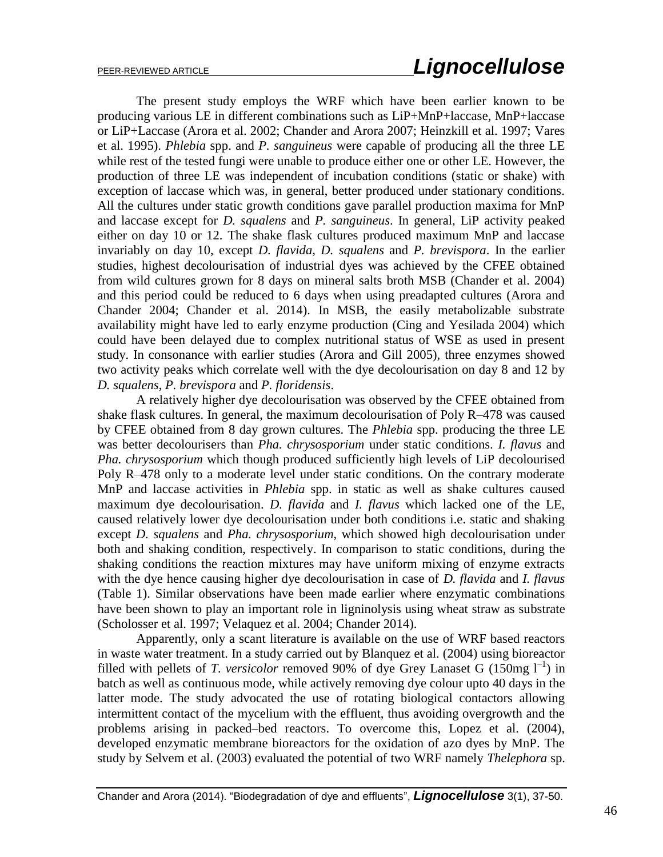The present study employs the WRF which have been earlier known to be producing various LE in different combinations such as LiP+MnP+laccase, MnP+laccase or LiP+Laccase (Arora et al. 2002; Chander and Arora 2007; Heinzkill et al. 1997; Vares et al. 1995). *Phlebia* spp. and *P. sanguineus* were capable of producing all the three LE while rest of the tested fungi were unable to produce either one or other LE. However, the production of three LE was independent of incubation conditions (static or shake) with exception of laccase which was, in general, better produced under stationary conditions. All the cultures under static growth conditions gave parallel production maxima for MnP and laccase except for *D. squalens* and *P. sanguineus*. In general, LiP activity peaked either on day 10 or 12. The shake flask cultures produced maximum MnP and laccase invariably on day 10, except *D. flavida*, *D. squalens* and *P. brevispora*. In the earlier studies, highest decolourisation of industrial dyes was achieved by the CFEE obtained from wild cultures grown for 8 days on mineral salts broth MSB (Chander et al. 2004) and this period could be reduced to 6 days when using preadapted cultures (Arora and Chander 2004; Chander et al. 2014). In MSB, the easily metabolizable substrate availability might have led to early enzyme production (Cing and Yesilada 2004) which could have been delayed due to complex nutritional status of WSE as used in present study. In consonance with earlier studies (Arora and Gill 2005), three enzymes showed two activity peaks which correlate well with the dye decolourisation on day 8 and 12 by *D. squalens*, *P. brevispora* and *P. floridensis*.

A relatively higher dye decolourisation was observed by the CFEE obtained from shake flask cultures. In general, the maximum decolourisation of Poly R–478 was caused by CFEE obtained from 8 day grown cultures. The *Phlebia* spp. producing the three LE was better decolourisers than *Pha. chrysosporium* under static conditions. *I. flavus* and *Pha. chrysosporium* which though produced sufficiently high levels of LiP decolourised Poly R–478 only to a moderate level under static conditions. On the contrary moderate MnP and laccase activities in *Phlebia* spp. in static as well as shake cultures caused maximum dye decolourisation. *D. flavida* and *I. flavus* which lacked one of the LE, caused relatively lower dye decolourisation under both conditions i.e. static and shaking except *D. squalens* and *Pha. chrysosporium*, which showed high decolourisation under both and shaking condition, respectively. In comparison to static conditions, during the shaking conditions the reaction mixtures may have uniform mixing of enzyme extracts with the dye hence causing higher dye decolourisation in case of *D. flavida* and *I. flavus* (Table 1). Similar observations have been made earlier where enzymatic combinations have been shown to play an important role in ligninolysis using wheat straw as substrate (Scholosser et al. 1997; Velaquez et al. 2004; Chander 2014).

Apparently, only a scant literature is available on the use of WRF based reactors in waste water treatment. In a study carried out by Blanquez et al. (2004) using bioreactor filled with pellets of *T. versicolor* removed 90% of dye Grey Lanaset G (150mg  $I^{-1}$ ) in batch as well as continuous mode, while actively removing dye colour upto 40 days in the latter mode. The study advocated the use of rotating biological contactors allowing intermittent contact of the mycelium with the effluent, thus avoiding overgrowth and the problems arising in packed–bed reactors. To overcome this, Lopez et al. (2004), developed enzymatic membrane bioreactors for the oxidation of azo dyes by MnP. The study by Selvem et al. (2003) evaluated the potential of two WRF namely *Thelephora* sp.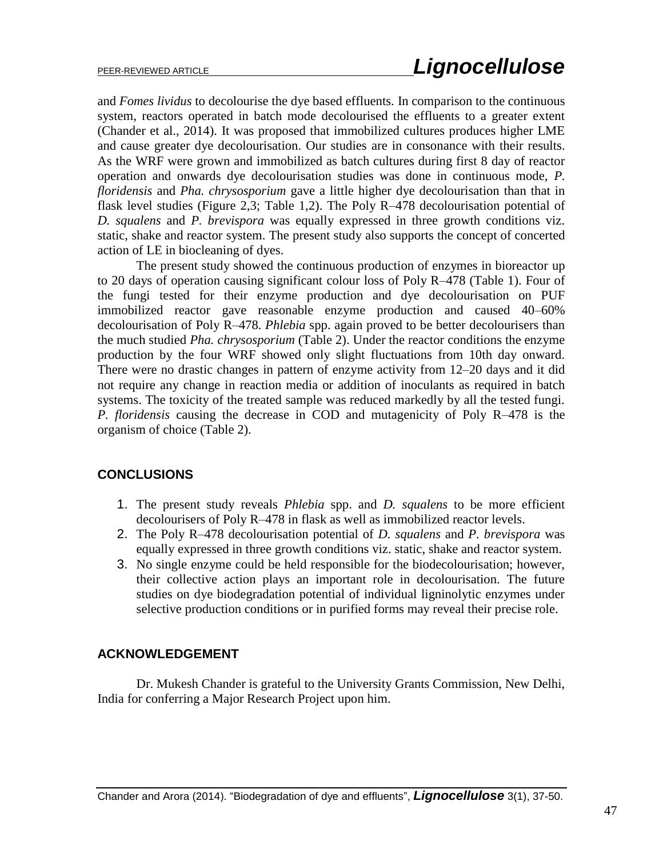and *Fomes lividus* to decolourise the dye based effluents. In comparison to the continuous system, reactors operated in batch mode decolourised the effluents to a greater extent (Chander et al., 2014). It was proposed that immobilized cultures produces higher LME and cause greater dye decolourisation. Our studies are in consonance with their results. As the WRF were grown and immobilized as batch cultures during first 8 day of reactor operation and onwards dye decolourisation studies was done in continuous mode, *P. floridensis* and *Pha. chrysosporium* gave a little higher dye decolourisation than that in flask level studies (Figure 2,3; Table 1,2). The Poly R–478 decolourisation potential of *D. squalens* and *P. brevispora* was equally expressed in three growth conditions viz. static, shake and reactor system. The present study also supports the concept of concerted action of LE in biocleaning of dyes.

The present study showed the continuous production of enzymes in bioreactor up to 20 days of operation causing significant colour loss of Poly R–478 (Table 1). Four of the fungi tested for their enzyme production and dye decolourisation on PUF immobilized reactor gave reasonable enzyme production and caused 40–60% decolourisation of Poly R–478. *Phlebia* spp. again proved to be better decolourisers than the much studied *Pha. chrysosporium* (Table 2). Under the reactor conditions the enzyme production by the four WRF showed only slight fluctuations from 10th day onward. There were no drastic changes in pattern of enzyme activity from 12–20 days and it did not require any change in reaction media or addition of inoculants as required in batch systems. The toxicity of the treated sample was reduced markedly by all the tested fungi. *P. floridensis* causing the decrease in COD and mutagenicity of Poly R–478 is the organism of choice (Table 2).

#### **CONCLUSIONS**

- 1. The present study reveals *Phlebia* spp. and *D. squalens* to be more efficient decolourisers of Poly R–478 in flask as well as immobilized reactor levels.
- 2. The Poly R–478 decolourisation potential of *D. squalens* and *P. brevispora* was equally expressed in three growth conditions viz. static, shake and reactor system.
- 3. No single enzyme could be held responsible for the biodecolourisation; however, their collective action plays an important role in decolourisation. The future studies on dye biodegradation potential of individual ligninolytic enzymes under selective production conditions or in purified forms may reveal their precise role.

### **ACKNOWLEDGEMENT**

Dr. Mukesh Chander is grateful to the University Grants Commission, New Delhi, India for conferring a Major Research Project upon him.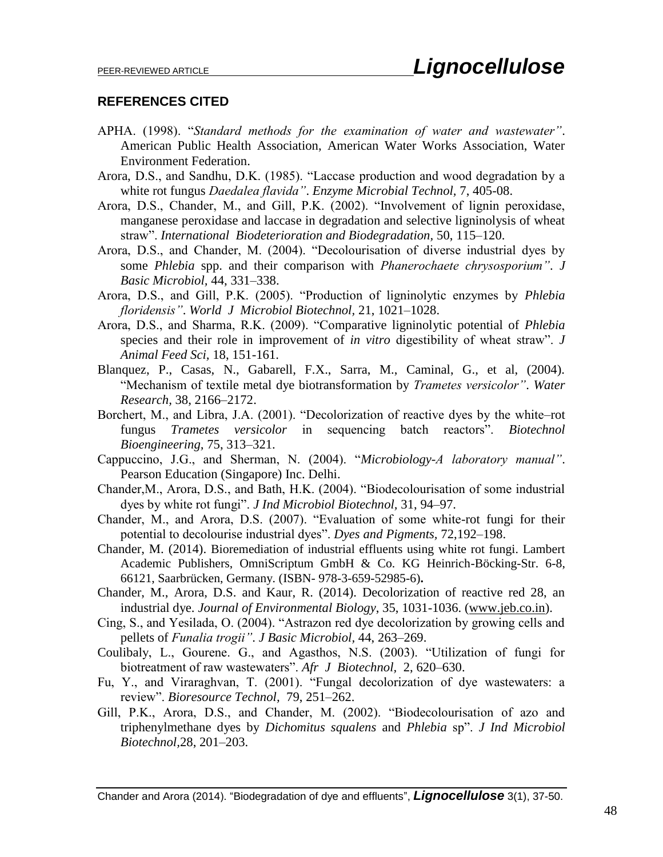#### **REFERENCES CITED**

- APHA. (1998). "*Standard methods for the examination of water and wastewater"*. American Public Health Association, American Water Works Association, Water Environment Federation.
- Arora, D.S., and Sandhu, D.K. (1985). "Laccase production and wood degradation by a white rot fungus *Daedalea flavida"*. *Enzyme Microbial Technol,* 7, 405-08.
- Arora, D.S., Chander, M., and Gill, P.K. (2002). "Involvement of lignin peroxidase, manganese peroxidase and laccase in degradation and selective ligninolysis of wheat straw". *International Biodeterioration and Biodegradation,* 50, 115–120.
- Arora, D.S., and Chander, M. (2004). "Decolourisation of diverse industrial dyes by some *Phlebia* spp. and their comparison with *Phanerochaete chrysosporium"*. *J Basic Microbiol,* 44, 331–338.
- Arora, D.S., and Gill, P.K. (2005). "Production of ligninolytic enzymes by *Phlebia floridensis"*. *World J Microbiol Biotechnol,* 21, 1021–1028.
- Arora, D.S., and Sharma, R.K. (2009). "Comparative ligninolytic potential of *Phlebia* species and their role in improvement of *in vitro* digestibility of wheat straw". *J Animal Feed Sci,* 18, 151-161.
- Blanquez, P., Casas, N., Gabarell, F.X., Sarra, M., Caminal, G., et al, (2004). "Mechanism of textile metal dye biotransformation by *Trametes versicolor"*. *Water Research,* 38, 2166–2172.
- Borchert, M., and Libra, J.A. (2001). "Decolorization of reactive dyes by the white–rot fungus *Trametes versicolor* in sequencing batch reactors". *Biotechnol Bioengineering,* 75, 313–321.
- Cappuccino, J.G., and Sherman, N. (2004). "*Microbiology-A laboratory manual"*. Pearson Education (Singapore) Inc. Delhi.
- Chander,M., Arora, D.S., and Bath, H.K. (2004). "Biodecolourisation of some industrial dyes by white rot fungi". *J Ind Microbiol Biotechnol,* 31, 94–97.
- Chander, M., and Arora, D.S. (2007). "Evaluation of some white-rot fungi for their potential to decolourise industrial dyes". *Dyes and Pigments,* 72,192–198.
- Chander, M. (2014). Bioremediation of industrial effluents using white rot fungi. Lambert Academic Publishers, OmniScriptum GmbH & Co. KG Heinrich-Böcking-Str. 6-8, 66121, Saarbrücken, Germany. (ISBN- 978-3-659-52985-6)**.**
- Chander, M., Arora, D.S. and Kaur, R. (2014). Decolorization of reactive red 28, an industrial dye. *Journal of Environmental Biology*, 35, 1031-1036. [\(www.jeb.co.in\)](http://www.jeb.co.in/).
- Cing, S., and Yesilada, O. (2004). "Astrazon red dye decolorization by growing cells and pellets of *Funalia trogii"*. *J Basic Microbiol,* 44, 263–269.
- Coulibaly, L., Gourene. G., and Agasthos, N.S. (2003). "Utilization of fungi for biotreatment of raw wastewaters". *Afr J Biotechnol,* 2, 620–630.
- Fu, Y., and Viraraghvan, T. (2001). "Fungal decolorization of dye wastewaters: a review". *Bioresource Technol,* 79, 251–262.
- Gill, P.K., Arora, D.S., and Chander, M. (2002). "Biodecolourisation of azo and triphenylmethane dyes by *Dichomitus squalens* and *Phlebia* sp". *J Ind Microbiol Biotechnol,*28, 201–203.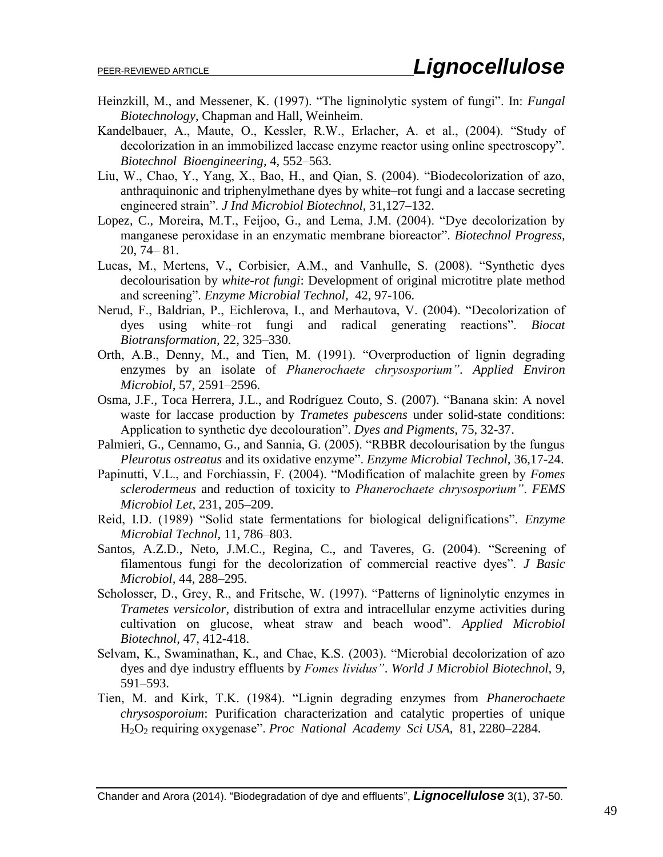- Heinzkill, M., and Messener, K. (1997). "The ligninolytic system of fungi". In: *Fungal Biotechnology*, Chapman and Hall, Weinheim.
- Kandelbauer, A., Maute, O., Kessler, R.W., Erlacher, A. et al., (2004). "Study of decolorization in an immobilized laccase enzyme reactor using online spectroscopy". *Biotechnol Bioengineering,* 4, 552–563.
- Liu, W., Chao, Y., Yang, X., Bao, H., and Qian, S. (2004). "Biodecolorization of azo, anthraquinonic and triphenylmethane dyes by white–rot fungi and a laccase secreting engineered strain". *J Ind Microbiol Biotechnol,* 31,127–132.
- Lopez, C., Moreira, M.T., Feijoo, G., and Lema, J.M. (2004). "Dye decolorization by manganese peroxidase in an enzymatic membrane bioreactor". *Biotechnol Progress,*  20, 74– 81.
- Lucas, M., Mertens, V., Corbisier, A.M., and Vanhulle, S. (2008). "Synthetic dyes decolourisation by *white-rot fungi*: Development of original microtitre plate method and screening". *Enzyme Microbial Technol,* 42, 97-106.
- Nerud, F., Baldrian, P., Eichlerova, I., and Merhautova, V. (2004). "Decolorization of dyes using white–rot fungi and radical generating reactions". *Biocat Biotransformation,* 22, 325–330.
- Orth, A.B., Denny, M., and Tien, M. (1991). "Overproduction of lignin degrading enzymes by an isolate of *Phanerochaete chrysosporium"*. *Applied Environ Microbiol,* 57, 2591–2596.
- Osma, J.F., Toca Herrera, J.L., and Rodríguez Couto, S. (2007). "Banana skin: A novel waste for laccase production by *Trametes pubescens* under solid-state conditions: Application to synthetic dye decolouration". *Dyes and Pigments,* 75, 32-37.
- Palmieri, G., Cennamo, G., and Sannia, G. (2005). "RBBR decolourisation by the fungus *Pleurotus ostreatus* and its oxidative enzyme". *Enzyme Microbial Technol,* 36,17-24.
- Papinutti, V.L., and Forchiassin, F. (2004). "Modification of malachite green by *Fomes sclerodermeus* and reduction of toxicity to *Phanerochaete chrysosporium"*. *FEMS Microbiol Let,* 231, 205–209.
- Reid, I.D. (1989) "Solid state fermentations for biological delignifications". *Enzyme Microbial Technol,* 11, 786–803.
- Santos, A.Z.D., Neto, J.M.C., Regina, C., and Taveres, G. (2004). "Screening of filamentous fungi for the decolorization of commercial reactive dyes". *J Basic Microbiol,* 44, 288–295.
- Scholosser, D., Grey, R., and Fritsche, W. (1997). "Patterns of ligninolytic enzymes in *Trametes versicolor*, distribution of extra and intracellular enzyme activities during cultivation on glucose, wheat straw and beach wood". *Applied Microbiol Biotechnol,* 47, 412-418.
- Selvam, K., Swaminathan, K., and Chae, K.S. (2003). "Microbial decolorization of azo dyes and dye industry effluents by *Fomes lividus"*. *World J Microbiol Biotechnol,* 9, 591–593.
- Tien, M. and Kirk, T.K. (1984). "Lignin degrading enzymes from *Phanerochaete chrysosporoium*: Purification characterization and catalytic properties of unique H2O<sup>2</sup> requiring oxygenase". *Proc National Academy Sci USA,* 81, 2280–2284.